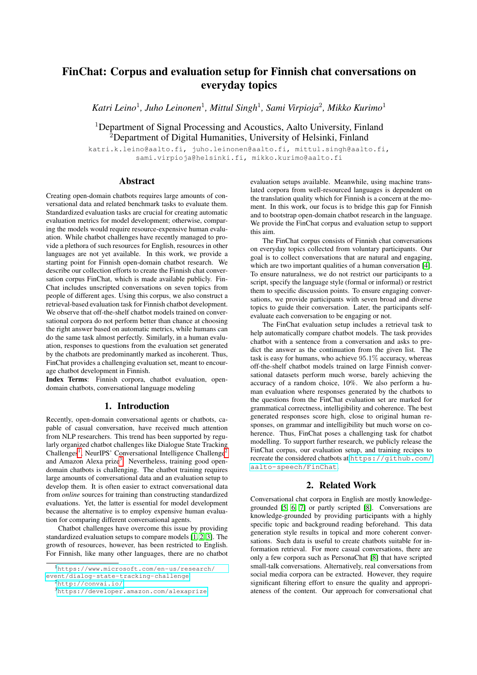# FinChat: Corpus and evaluation setup for Finnish chat conversations on everyday topics

*Katri Leino*<sup>1</sup> *, Juho Leinonen*<sup>1</sup> *, Mittul Singh*<sup>1</sup> *, Sami Virpioja*<sup>2</sup> *, Mikko Kurimo*<sup>1</sup>

<sup>1</sup>Department of Signal Processing and Acoustics, Aalto University, Finland <sup>2</sup>Department of Digital Humanities, University of Helsinki, Finland

katri.k.leino@aalto.fi, juho.leinonen@aalto.fi, mittul.singh@aalto.fi, sami.virpioja@helsinki.fi, mikko.kurimo@aalto.fi

# Abstract

Creating open-domain chatbots requires large amounts of conversational data and related benchmark tasks to evaluate them. Standardized evaluation tasks are crucial for creating automatic evaluation metrics for model development; otherwise, comparing the models would require resource-expensive human evaluation. While chatbot challenges have recently managed to provide a plethora of such resources for English, resources in other languages are not yet available. In this work, we provide a starting point for Finnish open-domain chatbot research. We describe our collection efforts to create the Finnish chat conversation corpus FinChat, which is made available publicly. Fin-Chat includes unscripted conversations on seven topics from people of different ages. Using this corpus, we also construct a retrieval-based evaluation task for Finnish chatbot development. We observe that off-the-shelf chatbot models trained on conversational corpora do not perform better than chance at choosing the right answer based on automatic metrics, while humans can do the same task almost perfectly. Similarly, in a human evaluation, responses to questions from the evaluation set generated by the chatbots are predominantly marked as incoherent. Thus, FinChat provides a challenging evaluation set, meant to encourage chatbot development in Finnish.

Index Terms: Finnish corpora, chatbot evaluation, opendomain chatbots, conversational language modeling

# 1. Introduction

Recently, open-domain conversational agents or chatbots, capable of casual conversation, have received much attention from NLP researchers. This trend has been supported by regularly organized chatbot challenges like Dialogue State Tracking Challenges<sup>[1](#page-0-0)</sup>, NeurIPS' Conversational Intelligence Challenge<sup>[2](#page-0-1)</sup> and Amazon Alexa prize<sup>[3](#page-0-2)</sup>. Nevertheless, training good opendomain chatbots is challenging. The chatbot training requires large amounts of conversational data and an evaluation setup to develop them. It is often easier to extract conversational data from *online* sources for training than constructing standardized evaluations. Yet, the latter is essential for model development because the alternative is to employ expensive human evaluation for comparing different conversational agents.

Chatbot challenges have overcome this issue by providing standardized evaluation setups to compare models [\[1,](#page-3-0) [2,](#page-4-0) [3\]](#page-4-1). The growth of resources, however, has been restricted to English. For Finnish, like many other languages, there are no chatbot evaluation setups available. Meanwhile, using machine translated corpora from well-resourced languages is dependent on the translation quality which for Finnish is a concern at the moment. In this work, our focus is to bridge this gap for Finnish and to bootstrap open-domain chatbot research in the language. We provide the FinChat corpus and evaluation setup to support this aim.

The FinChat corpus consists of Finnish chat conversations on everyday topics collected from voluntary participants. Our goal is to collect conversations that are natural and engaging, which are two important qualities of a human conversation [\[4\]](#page-4-2). To ensure naturalness, we do not restrict our participants to a script, specify the language style (formal or informal) or restrict them to specific discussion points. To ensure engaging conversations, we provide participants with seven broad and diverse topics to guide their conversation. Later, the participants selfevaluate each conversation to be engaging or not.

The FinChat evaluation setup includes a retrieval task to help automatically compare chatbot models. The task provides chatbot with a sentence from a conversation and asks to predict the answer as the continuation from the given list. The task is easy for humans, who achieve 95.1% accuracy, whereas off-the-shelf chatbot models trained on large Finnish conversational datasets perform much worse, barely achieving the accuracy of a random choice, 10%. We also perform a human evaluation where responses generated by the chatbots to the questions from the FinChat evaluation set are marked for grammatical correctness, intelligibility and coherence. The best generated responses score high, close to original human responses, on grammar and intelligibility but much worse on coherence. Thus, FinChat poses a challenging task for chatbot modelling. To support further research, we publicly release the FinChat corpus, our evaluation setup, and training recipes to recreate the considered chatbots at [https://github.com/](https://github.com/aalto-speech/FinChat) [aalto-speech/FinChat](https://github.com/aalto-speech/FinChat).

## 2. Related Work

Conversational chat corpora in English are mostly knowledgegrounded [\[5,](#page-4-3) [6,](#page-4-4) [7\]](#page-4-5) or partly scripted [\[8\]](#page-4-6). Conversations are knowledge-grounded by providing participants with a highly specific topic and background reading beforehand. This data generation style results in topical and more coherent conversations. Such data is useful to create chatbots suitable for information retrieval. For more casual conversations, there are only a few corpora such as PersonaChat [\[8\]](#page-4-6) that have scripted small-talk conversations. Alternatively, real conversations from social media corpora can be extracted. However, they require significant filtering effort to ensure the quality and appropriateness of the content. Our approach for conversational chat

<span id="page-0-0"></span><sup>1</sup>[https://www.microsoft.com/en-us/research/](https://www.microsoft.com/en-us/research/event/dialog-state-tracking-challenge) [event/dialog-state-tracking-challenge](https://www.microsoft.com/en-us/research/event/dialog-state-tracking-challenge)

<span id="page-0-1"></span><sup>2</sup><http://convai.io/>

<span id="page-0-2"></span><sup>3</sup><https://developer.amazon.com/alexaprize>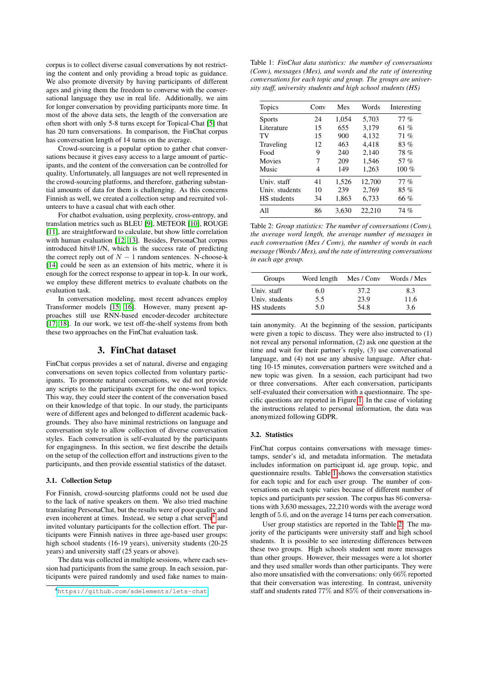corpus is to collect diverse casual conversations by not restricting the content and only providing a broad topic as guidance. We also promote diversity by having participants of different ages and giving them the freedom to converse with the conversational language they use in real life. Additionally, we aim for longer conversation by providing participants more time. In most of the above data sets, the length of the conversation are often short with only 5-8 turns except for Topical-Chat [\[5\]](#page-4-3) that has 20 turn conversations. In comparison, the FinChat corpus has conversation length of 14 turns on the average.

Crowd-sourcing is a popular option to gather chat conversations because it gives easy access to a large amount of participants, and the content of the conversation can be controlled for quality. Unfortunately, all languages are not well represented in the crowd-sourcing platforms, and therefore, gathering substantial amounts of data for them is challenging. As this concerns Finnish as well, we created a collection setup and recruited volunteers to have a casual chat with each other.

For chatbot evaluation, using perplexity, cross-entropy, and translation metrics such as BLEU [\[9\]](#page-4-7), METEOR [\[10\]](#page-4-8), ROUGE [\[11\]](#page-4-9), are straightforward to calculate, but show little correlation with human evaluation [\[12,](#page-4-10) [13\]](#page-4-11). Besides, PersonaChat corpus introduced hits@1/N, which is the success rate of predicting the correct reply out of  $N - 1$  random sentences. N-choose-k [\[14\]](#page-4-12) could be seen as an extension of hits metric, where it is enough for the correct response to appear in top-k. In our work, we employ these different metrics to evaluate chatbots on the evaluation task.

In conversation modeling, most recent advances employ Transformer models [\[15,](#page-4-13) [16\]](#page-4-14). However, many present approaches still use RNN-based encoder-decoder architecture [\[17,](#page-4-15) [18\]](#page-4-16). In our work, we test off-the-shelf systems from both these two approaches on the FinChat evaluation task.

## 3. FinChat dataset

FinChat corpus provides a set of natural, diverse and engaging conversations on seven topics collected from voluntary participants. To promote natural conversations, we did not provide any scripts to the participants except for the one-word topics. This way, they could steer the content of the conversation based on their knowledge of that topic. In our study, the participants were of different ages and belonged to different academic backgrounds. They also have minimal restrictions on language and conversation style to allow collection of diverse conversation styles. Each conversation is self-evaluated by the participants for engagingness. In this section, we first describe the details on the setup of the collection effort and instructions given to the participants, and then provide essential statistics of the dataset.

#### 3.1. Collection Setup

For Finnish, crowd-sourcing platforms could not be used due to the lack of native speakers on them. We also tried machine translating PersonaChat, but the results were of poor quality and even incoherent at times. Instead, we setup a chat server<sup>[4](#page-1-0)</sup> and invited voluntary participants for the collection effort. The participants were Finnish natives in three age-based user groups: high school students (16-19 years), university students (20-25 years) and university staff (25 years or above).

The data was collected in multiple sessions, where each session had participants from the same group. In each session, participants were paired randomly and used fake names to main-

<span id="page-1-1"></span>Table 1: *FinChat data statistics: the number of conversations (Conv), messages (Mes), and words and the rate of interesting conversations for each topic and group. The groups are university staff, university students and high school students (HS)*

| <b>Topics</b>      | Conv | Mes   | Words  | Interesting |
|--------------------|------|-------|--------|-------------|
| <b>Sports</b>      | 24   | 1.054 | 5,703  | $77\%$      |
| Literature         | 15   | 655   | 3.179  | 61 %        |
| TV                 | 15   | 900   | 4.132  | 71%         |
| Traveling          | 12   | 463   | 4.418  | 83%         |
| Food               | 9    | 240   | 2,140  | 78%         |
| Movies             | 7    | 209   | 1,546  | 57 %        |
| Music              | 4    | 149   | 1,263  | 100 $%$     |
| Univ. staff        | 41   | 1,526 | 12.700 | $77\%$      |
| Univ. students     | 10   | 239   | 2,769  | 85 %        |
| <b>HS</b> students | 34   | 1.863 | 6,733  | 66 %        |
| All                | 86   | 3.630 | 22,210 | 74 %        |

<span id="page-1-2"></span>Table 2: *Group statistics: The number of conversations (Conv), the average word length, the average number of messages in each conversation (Mes / Conv), the number of words in each message (Words / Mes), and the rate of interesting conversations in each age group.*

| Groups         | Word length | Mes / Conv | Words / Mes |
|----------------|-------------|------------|-------------|
| Univ. staff    | 6.0         | 37.2       | 8.3         |
| Univ. students | 5.5         | 23.9       | 11.6        |
| HS students    | 5.0         | 54.8       | 3.6         |

tain anonymity. At the beginning of the session, participants were given a topic to discuss. They were also instructed to (1) not reveal any personal information, (2) ask one question at the time and wait for their partner's reply, (3) use conversational language, and (4) not use any abusive language. After chatting 10-15 minutes, conversation partners were switched and a new topic was given. In a session, each participant had two or three conversations. After each conversation, participants self-evaluated their conversation with a questionnaire. The specific questions are reported in Figure [1.](#page-2-0) In the case of violating the instructions related to personal information, the data was anonymized following GDPR.

### 3.2. Statistics

FinChat corpus contains conversations with message timestamps, sender's id, and metadata information. The metadata includes information on participant id, age group, topic, and questionnaire results. Table [1](#page-1-1) shows the conversation statistics for each topic and for each user group. The number of conversations on each topic varies because of different number of topics and participants per session. The corpus has 86 conversations with 3,630 messages, 22,210 words with the average word length of 5.6, and on the average 14 turns per each conversation.

User group statistics are reported in the Table [2.](#page-1-2) The majority of the participants were university staff and high school students. It is possible to see interesting differences between these two groups. High schools student sent more messages than other groups. However, their messages were a lot shorter and they used smaller words than other participants. They were also more unsatisfied with the conversations: only 66% reported that their conversation was interesting. In contrast, university staff and students rated 77% and 85% of their conversations in-

<span id="page-1-0"></span><sup>4</sup><https://github.com/sdelements/lets-chat>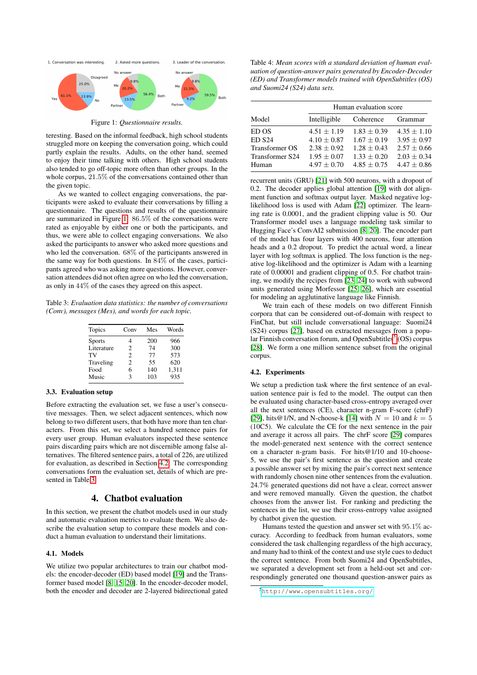<span id="page-2-0"></span>

Figure 1: *Questionnaire results.*

teresting. Based on the informal feedback, high school students struggled more on keeping the conversation going, which could partly explain the results. Adults, on the other hand, seemed to enjoy their time talking with others. High school students also tended to go off-topic more often than other groups. In the whole corpus, 21.5% of the conversations contained other than the given topic.

As we wanted to collect engaging conversations, the participants were asked to evaluate their conversations by filling a questionnaire. The questions and results of the questionnaire are summarized in Figure [1.](#page-2-0) 86.5% of the conversations were rated as enjoyable by either one or both the participants, and thus, we were able to collect engaging conversations. We also asked the participants to answer who asked more questions and who led the conversation. 68% of the participants answered in the same way for both questions. In 84% of the cases, participants agreed who was asking more questions. However, conversation attendees did not often agree on who led the conversation, as only in 44% of the cases they agreed on this aspect.

<span id="page-2-2"></span>Table 3: *Evaluation data statistics: the number of conversations (Conv), messages (Mes), and words for each topic.*

| <b>Topics</b> | Conv | Mes | Words |
|---------------|------|-----|-------|
| <b>Sports</b> | 4    | 200 | 966   |
| Literature    | 2    | 74  | 300   |
| TV            | 2    | 77  | 573   |
| Traveling     | 2    | 55  | 620   |
| Food          | 6    | 140 | 1,311 |
| Music         | ٦    | 103 | 935   |

### 3.3. Evaluation setup

Before extracting the evaluation set, we fuse a user's consecutive messages. Then, we select adjacent sentences, which now belong to two different users, that both have more than ten characters. From this set, we select a hundred sentence pairs for every user group. Human evaluators inspected these sentence pairs discarding pairs which are not discernible among false alternatives. The filtered sentence pairs, a total of 226, are utilized for evaluation, as described in Section [4.2.](#page-2-1) The corresponding conversations form the evaluation set, details of which are presented in Table [3.](#page-2-2)

## 4. Chatbot evaluation

In this section, we present the chatbot models used in our study and automatic evaluation metrics to evaluate them. We also describe the evaluation setup to compare these models and conduct a human evaluation to understand their limitations.

#### 4.1. Models

We utilize two popular architectures to train our chatbot models: the encoder-decoder (ED) based model [\[19\]](#page-4-17) and the Transformer based model [\[8,](#page-4-6) [15,](#page-4-13) [20\]](#page-4-18). In the encoder-decoder model, both the encoder and decoder are 2-layered bidirectional gated

<span id="page-2-4"></span>Table 4: *Mean scores with a standard deviation of human evaluation of question-answer pairs generated by Encoder-Decoder (ED) and Transformer models trained with OpenSubtitles (OS) and Suomi24 (S24) data sets.*

|                 | Human evaluation score |                 |                 |  |  |
|-----------------|------------------------|-----------------|-----------------|--|--|
| Model           | Intelligible           | Coherence       | Grammar         |  |  |
| ED OS           | $4.51 \pm 1.19$        | $1.83 + 0.39$   | $4.35 \pm 1.10$ |  |  |
| <b>ED S24</b>   | $4.10 + 0.87$          | $1.67 \pm 0.19$ | $3.95 \pm 0.97$ |  |  |
| Transformer OS  | $2.38 + 0.92$          | $1.28 + 0.43$   | $2.57 \pm 0.66$ |  |  |
| Transformer S24 | $1.95 + 0.07$          | $1.33 + 0.20$   | $2.03 + 0.34$   |  |  |
| Human           | $4.97 + 0.70$          | $4.85 + 0.75$   | $4.47 + 0.86$   |  |  |

recurrent units (GRU) [\[21\]](#page-4-19) with 500 neurons, with a dropout of 0.2. The decoder applies global attention [\[19\]](#page-4-17) with dot alignment function and softmax output layer. Masked negative loglikelihood loss is used with Adam [\[22\]](#page-4-20) optimizer. The learning rate is 0.0001, and the gradient clipping value is 50. Our Transformer model uses a language modeling task similar to Hugging Face's ConvAI2 submission [\[8,](#page-4-6) [20\]](#page-4-18). The encoder part of the model has four layers with 400 neurons, four attention heads and a 0.2 dropout. To predict the actual word, a linear layer with log softmax is applied. The loss function is the negative log-likelihood and the optimizer is Adam with a learning rate of 0.00001 and gradient clipping of 0.5. For chatbot training, we modify the recipes from [\[23,](#page-4-21) [24\]](#page-4-22) to work with subword units generated using Morfessor [\[25,](#page-4-23) [26\]](#page-4-24), which are essential for modeling an agglutinative language like Finnish.

We train each of these models on two different Finnish corpora that can be considered out-of-domain with respect to FinChat, but still include conversational language: Suomi24 (S24) corpus [\[27\]](#page-4-25), based on extracted messages from a popu-lar Finnish conversation forum, and OpenSubtitles<sup>[5](#page-2-3)</sup> (OS) corpus [\[28\]](#page-4-26). We form a one million sentence subset from the original corpus.

#### <span id="page-2-1"></span>4.2. Experiments

We setup a prediction task where the first sentence of an evaluation sentence pair is fed to the model. The output can then be evaluated using character-based cross-entropy averaged over all the next sentences (CE), character n-gram F-score (chrF) [\[29\]](#page-4-27), hits@1/N, and N-choose-k [\[14\]](#page-4-12) with  $N = 10$  and  $k = 5$ (10C5). We calculate the CE for the next sentence in the pair and average it across all pairs. The chrF score [\[29\]](#page-4-27) compares the model-generated next sentence with the correct sentence on a character n-gram basis. For hits@1/10 and 10-choose-5, we use the pair's first sentence as the question and create a possible answer set by mixing the pair's correct next sentence with randomly chosen nine other sentences from the evaluation. 24.7% generated questions did not have a clear, correct answer and were removed manually. Given the question, the chatbot chooses from the answer list. For ranking and predicting the sentences in the list, we use their cross-entropy value assigned by chatbot given the question.

Humans tested the question and answer set with 95.1% accuracy. According to feedback from human evaluators, some considered the task challenging regardless of the high accuracy, and many had to think of the context and use style cues to deduct the correct sentence. From both Suomi24 and OpenSubtitles, we separated a development set from a held-out set and correspondingly generated one thousand question-answer pairs as

<span id="page-2-3"></span><sup>5</sup><http://www.opensubtitles.org/>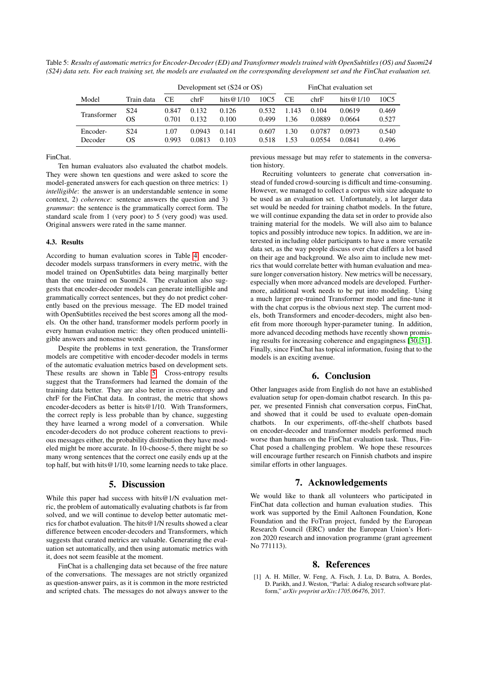<span id="page-3-1"></span>Table 5: *Results of automatic metrics for Encoder-Decoder (ED) and Transformer models trained with OpenSubtitles (OS) and Suomi24 (S24) data sets. For each training set, the models are evaluated on the corresponding development set and the FinChat evaluation set.*

|             |                 | Development set (S24 or OS) |        |              | FinChat evaluation set |       |        |              |       |
|-------------|-----------------|-----------------------------|--------|--------------|------------------------|-------|--------|--------------|-------|
| Model       | Train data      | СE                          | chrF   | hits $@1/10$ | 10C <sub>5</sub>       | CЕ    | chrF   | hits@ $1/10$ | 10C5  |
| Transformer | S <sub>24</sub> | 0.847                       | 0.132  | 0.126        | 0.532                  | 1.143 | 0.104  | 0.0619       | 0.469 |
|             | OS              | 0.701                       | 0.132  | 0.100        | 0.499                  | 1.36  | 0.0889 | 0.0664       | 0.527 |
| Encoder-    | S <sub>24</sub> | 1.07                        | 0.0943 | 0.141        | 0.607                  | 1.30  | 0.0787 | 0.0973       | 0.540 |
| Decoder     | OS              | 0.993                       | 0.0813 | 0.103        | 0.518                  | 1.53  | 0.0554 | 0.0841       | 0.496 |

FinChat.

Ten human evaluators also evaluated the chatbot models. They were shown ten questions and were asked to score the model-generated answers for each question on three metrics: 1) *intelligible*: the answer is an understandable sentence in some context, 2) *coherence*: sentence answers the question and 3) *grammar*: the sentence is the grammatically correct form. The standard scale from 1 (very poor) to 5 (very good) was used. Original answers were rated in the same manner.

#### 4.3. Results

According to human evaluation scores in Table [4,](#page-2-4) encoderdecoder models surpass transformers in every metric, with the model trained on OpenSubtitles data being marginally better than the one trained on Suomi24. The evaluation also suggests that encoder-decoder models can generate intelligible and grammatically correct sentences, but they do not predict coherently based on the previous message. The ED model trained with OpenSubtitles received the best scores among all the models. On the other hand, transformer models perform poorly in every human evaluation metric: they often produced unintelligible answers and nonsense words.

Despite the problems in text generation, the Transformer models are competitive with encoder-decoder models in terms of the automatic evaluation metrics based on development sets. These results are shown in Table [5.](#page-3-1) Cross-entropy results suggest that the Transformers had learned the domain of the training data better. They are also better in cross-entropy and chrF for the FinChat data. In contrast, the metric that shows encoder-decoders as better is hits@1/10. With Transformers, the correct reply is less probable than by chance, suggesting they have learned a wrong model of a conversation. While encoder-decoders do not produce coherent reactions to previous messages either, the probability distribution they have modeled might be more accurate. In 10-choose-5, there might be so many wrong sentences that the correct one easily ends up at the top half, but with hits@1/10, some learning needs to take place.

## 5. Discussion

While this paper had success with hits@1/N evaluation metric, the problem of automatically evaluating chatbots is far from solved, and we will continue to develop better automatic metrics for chatbot evaluation. The hits@1/N results showed a clear difference between encoder-decoders and Transformers, which suggests that curated metrics are valuable. Generating the evaluation set automatically, and then using automatic metrics with it, does not seem feasible at the moment.

FinChat is a challenging data set because of the free nature of the conversations. The messages are not strictly organized as question-answer pairs, as it is common in the more restricted and scripted chats. The messages do not always answer to the

previous message but may refer to statements in the conversation history.

Recruiting volunteers to generate chat conversation instead of funded crowd-sourcing is difficult and time-consuming. However, we managed to collect a corpus with size adequate to be used as an evaluation set. Unfortunately, a lot larger data set would be needed for training chatbot models. In the future, we will continue expanding the data set in order to provide also training material for the models. We will also aim to balance topics and possibly introduce new topics. In addition, we are interested in including older participants to have a more versatile data set, as the way people discuss over chat differs a lot based on their age and background. We also aim to include new metrics that would correlate better with human evaluation and measure longer conversation history. New metrics will be necessary, especially when more advanced models are developed. Furthermore, additional work needs to be put into modeling. Using a much larger pre-trained Transformer model and fine-tune it with the chat corpus is the obvious next step. The current models, both Transformers and encoder-decoders, might also benefit from more thorough hyper-parameter tuning. In addition, more advanced decoding methods have recently shown promising results for increasing coherence and engagingness [\[30,](#page-4-28) [31\]](#page-4-29). Finally, since FinChat has topical information, fusing that to the models is an exciting avenue.

# 6. Conclusion

Other languages aside from English do not have an established evaluation setup for open-domain chatbot research. In this paper, we presented Finnish chat conversation corpus, FinChat, and showed that it could be used to evaluate open-domain chatbots. In our experiments, off-the-shelf chatbots based on encoder-decoder and transformer models performed much worse than humans on the FinChat evaluation task. Thus, Fin-Chat posed a challenging problem. We hope these resources will encourage further research on Finnish chatbots and inspire similar efforts in other languages.

## 7. Acknowledgements

We would like to thank all volunteers who participated in FinChat data collection and human evaluation studies. This work was supported by the Emil Aaltonen Foundation, Kone Foundation and the FoTran project, funded by the European Research Council (ERC) under the European Union's Horizon 2020 research and innovation programme (grant agreement No 771113).

## 8. References

<span id="page-3-0"></span>[1] A. H. Miller, W. Feng, A. Fisch, J. Lu, D. Batra, A. Bordes, D. Parikh, and J. Weston, "Parlai: A dialog research software platform," *arXiv preprint arXiv:1705.06476*, 2017.